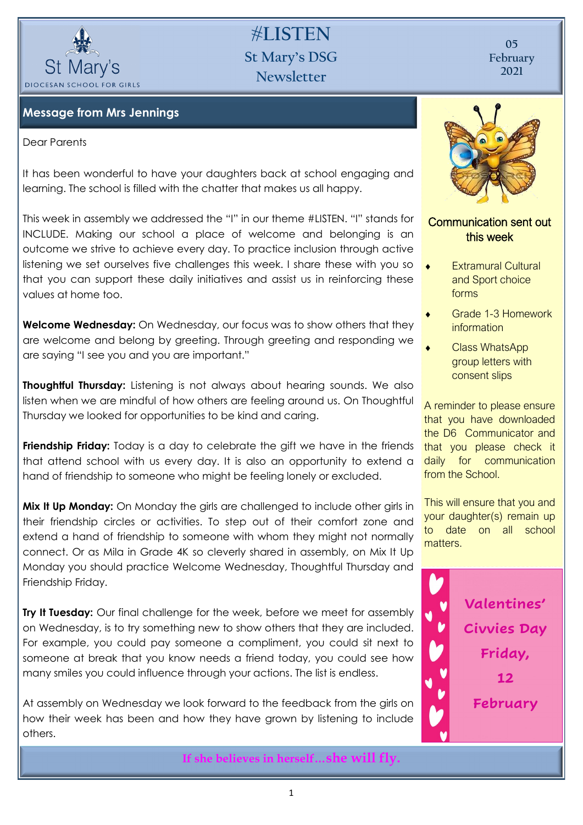

# **#LISTEN St Mary's DSG Newsletter**

**05 February 2021**

### **Message from Mrs Jennings**

#### Dear Parents

It has been wonderful to have your daughters back at school engaging and learning. The school is filled with the chatter that makes us all happy.

This week in assembly we addressed the "I" in our theme #LISTEN. "I" stands for INCLUDE. Making our school a place of welcome and belonging is an outcome we strive to achieve every day. To practice inclusion through active listening we set ourselves five challenges this week. I share these with you so that you can support these daily initiatives and assist us in reinforcing these values at home too.

**Welcome Wednesday:** On Wednesday, our focus was to show others that they are welcome and belong by greeting. Through greeting and responding we are saying "I see you and you are important."

**Thoughtful Thursday:** Listening is not always about hearing sounds. We also listen when we are mindful of how others are feeling around us. On Thoughtful Thursday we looked for opportunities to be kind and caring.

**Friendship Friday:** Today is a day to celebrate the gift we have in the friends that attend school with us every day. It is also an opportunity to extend a hand of friendship to someone who might be feeling lonely or excluded.

**Mix It Up Monday:** On Monday the girls are challenged to include other girls in their friendship circles or activities. To step out of their comfort zone and extend a hand of friendship to someone with whom they might not normally connect. Or as Mila in Grade 4K so cleverly shared in assembly, on Mix It Up Monday you should practice Welcome Wednesday, Thoughtful Thursday and Friendship Friday.

**Try It Tuesday:** Our final challenge for the week, before we meet for assembly on Wednesday, is to try something new to show others that they are included. For example, you could pay someone a compliment, you could sit next to someone at break that you know needs a friend today, you could see how many smiles you could influence through your actions. The list is endless.

At assembly on Wednesday we look forward to the feedback from the girls on how their week has been and how they have grown by listening to include others.



### Communication sent out this week

- Extramural Cultural and Sport choice forms
- Grade 1-3 Homework **information**
- Class WhatsApp group letters with consent slips

A reminder to please ensure that you have downloaded the D6 Communicator and that you please check it daily for communication from the School.

This will ensure that you and your daughter(s) remain up to date on all school matters.



**If she believes in herself…she will fly.**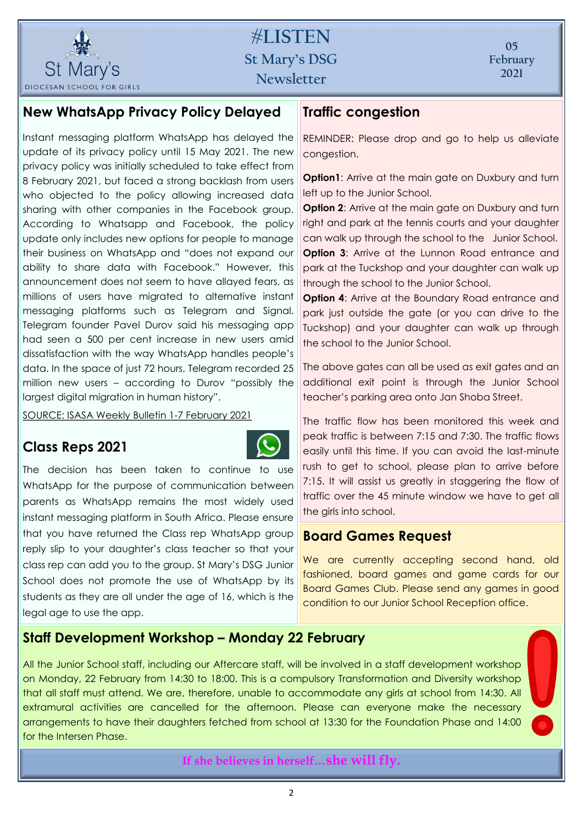

# **#LISTEN St Mary's DSG Newsletter**

## **New WhatsApp Privacy Policy Delayed**

Instant messaging platform WhatsApp has delayed the update of its privacy policy until 15 May 2021. The new privacy policy was initially scheduled to take effect from 8 February 2021, but faced a strong backlash from users who objected to the policy allowing increased data sharing with other companies in the Facebook group. According to Whatsapp and Facebook, the policy update only includes new options for people to manage their business on WhatsApp and "does not expand our ability to share data with Facebook." However, this announcement does not seem to have allayed fears, as millions of users have migrated to alternative instant messaging platforms such as Telegram and Signal. Telegram founder Pavel Durov said his messaging app had seen a 500 per cent increase in new users amid dissatisfaction with the way WhatsApp handles people's data. In the space of just 72 hours, Telegram recorded 25 million new users – according to Durov "possibly the largest digital migration in human history".

SOURCE: ISASA Weekly Bulletin 1-7 February 2021

## **Class Reps 2021**



The decision has been taken to continue to use WhatsApp for the purpose of communication between parents as WhatsApp remains the most widely used instant messaging platform in South Africa. Please ensure that you have returned the Class rep WhatsApp group reply slip to your daughter's class teacher so that your class rep can add you to the group. St Mary's DSG Junior School does not promote the use of WhatsApp by its students as they are all under the age of 16, which is the legal age to use the app.

## **Traffic congestion**

REMINDER: Please drop and go to help us alleviate congestion.

**Option1:** Arrive at the main gate on Duxbury and turn left up to the Junior School.

**Option 2:** Arrive at the main gate on Duxbury and turn right and park at the tennis courts and your daughter can walk up through the school to the Junior School. **Option 3:** Arrive at the Lunnon Road entrance and park at the Tuckshop and your daughter can walk up through the school to the Junior School.

**Option 4:** Arrive at the Boundary Road entrance and park just outside the gate (or you can drive to the Tuckshop) and your daughter can walk up through the school to the Junior School.

The above gates can all be used as exit gates and an additional exit point is through the Junior School teacher's parking area onto Jan Shoba Street.

The traffic flow has been monitored this week and peak traffic is between 7:15 and 7:30. The traffic flows easily until this time. If you can avoid the last-minute rush to get to school, please plan to arrive before 7:15. It will assist us greatly in staggering the flow of traffic over the 45 minute window we have to get all the girls into school.

### **Board Games Request**

We are currently accepting second hand, old fashioned, board games and game cards for our Board Games Club. Please send any games in good condition to our Junior School Reception office.

## **Staff Development Workshop – Monday 22 February**

All the Junior School staff, including our Aftercare staff, will be involved in a staff development workshop on Monday, 22 February from 14:30 to 18:00. This is a compulsory Transformation and Diversity workshop that all staff must attend. We are, therefore, unable to accommodate any girls at school from 14:30. All extramural activities are cancelled for the afternoon. Please can everyone make the necessary arrangements to have their daughters fetched from school at 13:30 for the Foundation Phase and 14:00 for the Intersen Phase.

**If she believes in herself…she will fly.**